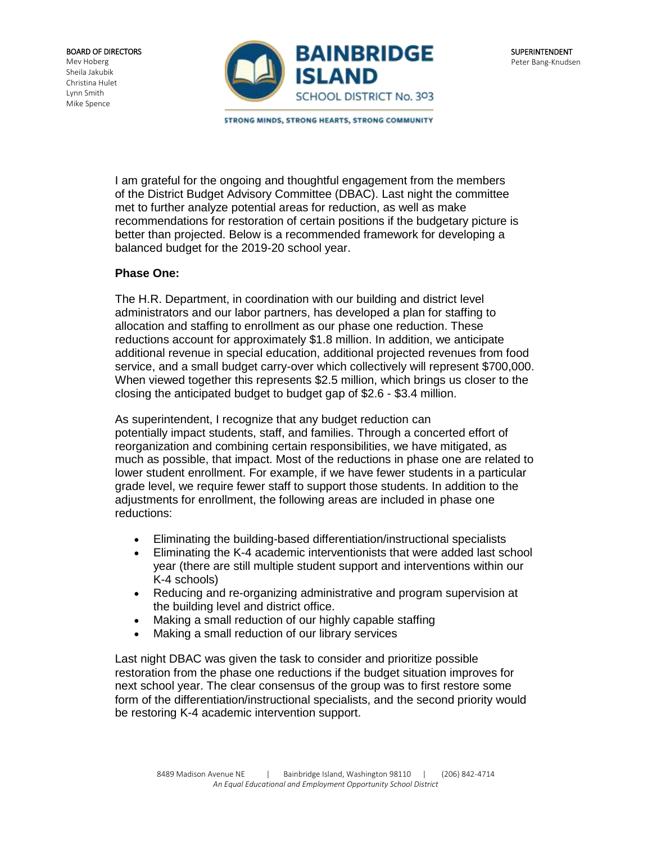

**STRONG MINDS, STRONG HEARTS, STRONG COMMUNITY** 

I am grateful for the ongoing and thoughtful engagement from the members of the District Budget Advisory Committee (DBAC). Last night the committee met to further analyze potential areas for reduction, as well as make recommendations for restoration of certain positions if the budgetary picture is better than projected. Below is a recommended framework for developing a balanced budget for the 2019-20 school year.

## **Phase One:**

The H.R. Department, in coordination with our building and district level administrators and our labor partners, has developed a plan for staffing to allocation and staffing to enrollment as our phase one reduction. These reductions account for approximately \$1.8 million. In addition, we anticipate additional revenue in special education, additional projected revenues from food service, and a small budget carry-over which collectively will represent \$700,000. When viewed together this represents \$2.5 million, which brings us closer to the closing the anticipated budget to budget gap of \$2.6 - \$3.4 million.

As superintendent, I recognize that any budget reduction can potentially impact students, staff, and families. Through a concerted effort of reorganization and combining certain responsibilities, we have mitigated, as much as possible, that impact. Most of the reductions in phase one are related to lower student enrollment. For example, if we have fewer students in a particular grade level, we require fewer staff to support those students. In addition to the adjustments for enrollment, the following areas are included in phase one reductions:

- Eliminating the building-based differentiation/instructional specialists
- Eliminating the K-4 academic interventionists that were added last school year (there are still multiple student support and interventions within our K-4 schools)
- Reducing and re-organizing administrative and program supervision at the building level and district office.
- Making a small reduction of our highly capable staffing
- Making a small reduction of our library services

Last night DBAC was given the task to consider and prioritize possible restoration from the phase one reductions if the budget situation improves for next school year. The clear consensus of the group was to first restore some form of the differentiation/instructional specialists, and the second priority would be restoring K-4 academic intervention support.